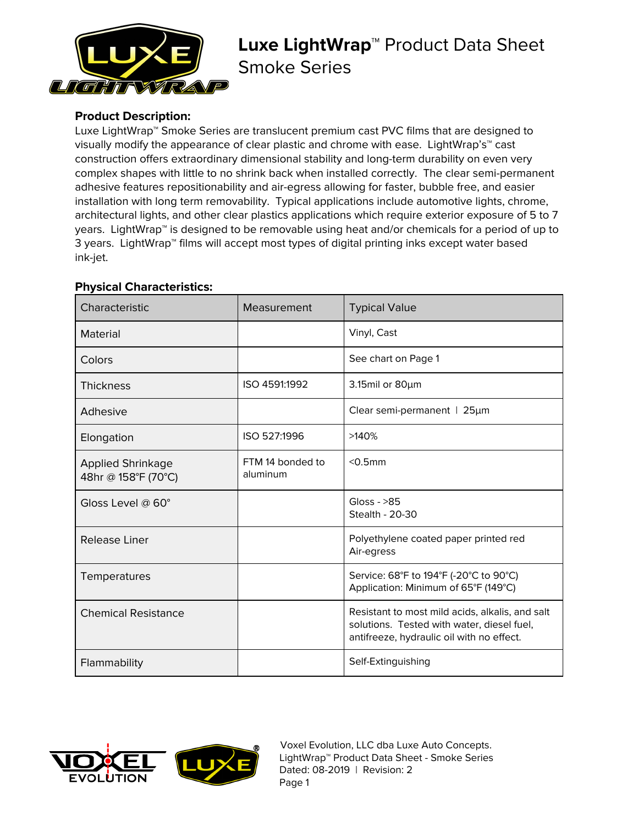

# **Luxe LightWrap™** Product Data Sheet Smoke Series

### **Product Description:**

Luxe LightWrap™ Smoke Series are translucent premium cast PVC films that are designed to visually modify the appearance of clear plastic and chrome with ease. LightWrap's™ cast construction offers extraordinary dimensional stability and long-term durability on even very complex shapes with little to no shrink back when installed correctly. The clear semi-permanent adhesive features repositionability and air-egress allowing for faster, bubble free, and easier installation with long term removability. Typical applications include automotive lights, chrome, architectural lights, and other clear plastics applications which require exterior exposure of 5 to 7 years. LightWrap™ is designed to be removable using heat and/or chemicals for a period of up to 3 years. LightWrap™ films will accept most types of digital printing inks except water based ink-jet.

### **Physical Characteristics:**

| Characteristic                                  | Measurement                  | <b>Typical Value</b>                                                                                                                       |
|-------------------------------------------------|------------------------------|--------------------------------------------------------------------------------------------------------------------------------------------|
| Material                                        |                              | Vinyl, Cast                                                                                                                                |
| Colors                                          |                              | See chart on Page 1                                                                                                                        |
| <b>Thickness</b>                                | ISO 4591:1992                | 3.15mil or 80um                                                                                                                            |
| Adhesive                                        |                              | Clear semi-permanent   25µm                                                                                                                |
| Elongation                                      | ISO 527:1996                 | >140%                                                                                                                                      |
| <b>Applied Shrinkage</b><br>48hr @ 158°F (70°C) | FTM 14 bonded to<br>aluminum | $< 0.5$ mm                                                                                                                                 |
| Gloss Level @ 60°                               |                              | Gloss - $>85$<br>Stealth - 20-30                                                                                                           |
| <b>Release Liner</b>                            |                              | Polyethylene coated paper printed red<br>Air-egress                                                                                        |
| Temperatures                                    |                              | Service: 68°F to 194°F (-20°C to 90°C)<br>Application: Minimum of 65°F (149°C)                                                             |
| <b>Chemical Resistance</b>                      |                              | Resistant to most mild acids, alkalis, and salt<br>solutions. Tested with water, diesel fuel,<br>antifreeze, hydraulic oil with no effect. |
| Flammability                                    |                              | Self-Extinguishing                                                                                                                         |



Voxel Evolution, LLC dba Luxe Auto Concepts. LightWrap™ Product Data Sheet - Smoke Series Dated: 08-2019 | Revision: 2 Page 1